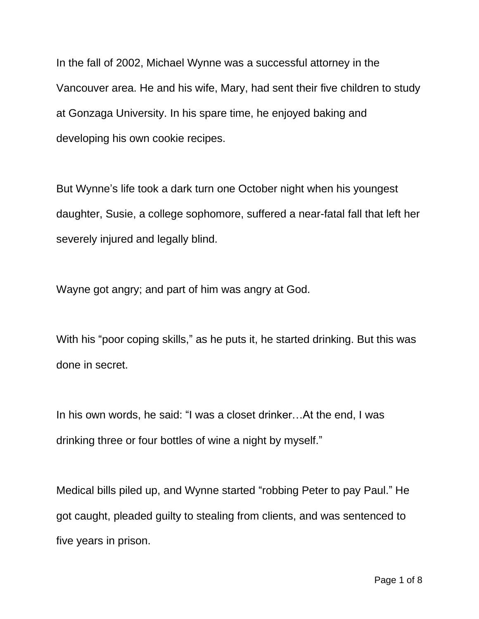In the fall of 2002, Michael Wynne was a successful attorney in the Vancouver area. He and his wife, Mary, had sent their five children to study at Gonzaga University. In his spare time, he enjoyed baking and developing his own cookie recipes.

But Wynne's life took a dark turn one October night when his youngest daughter, Susie, a college sophomore, suffered a near-fatal fall that left her severely injured and legally blind.

Wayne got angry; and part of him was angry at God.

With his "poor coping skills," as he puts it, he started drinking. But this was done in secret.

In his own words, he said: "I was a closet drinker…At the end, I was drinking three or four bottles of wine a night by myself."

Medical bills piled up, and Wynne started "robbing Peter to pay Paul." He got caught, pleaded guilty to stealing from clients, and was sentenced to five years in prison.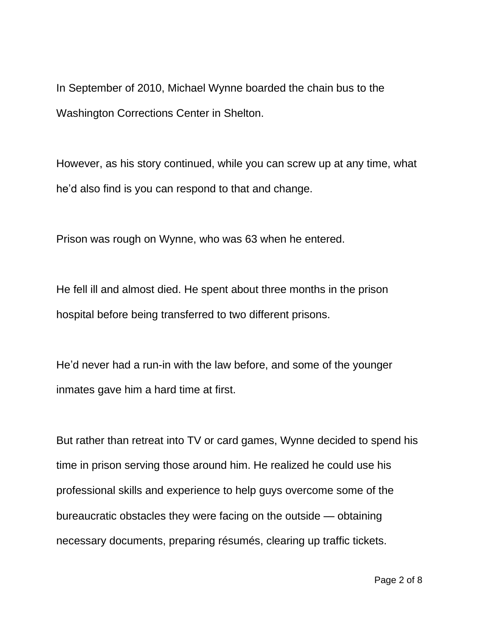In September of 2010, Michael Wynne boarded the chain bus to the Washington Corrections Center in Shelton.

However, as his story continued, while you can screw up at any time, what he'd also find is you can respond to that and change.

Prison was rough on Wynne, who was 63 when he entered.

He fell ill and almost died. He spent about three months in the prison hospital before being transferred to two different prisons.

He'd never had a run-in with the law before, and some of the younger inmates gave him a hard time at first.

But rather than retreat into TV or card games, Wynne decided to spend his time in prison serving those around him. He realized he could use his professional skills and experience to help guys overcome some of the bureaucratic obstacles they were facing on the outside — obtaining necessary documents, preparing résumés, clearing up traffic tickets.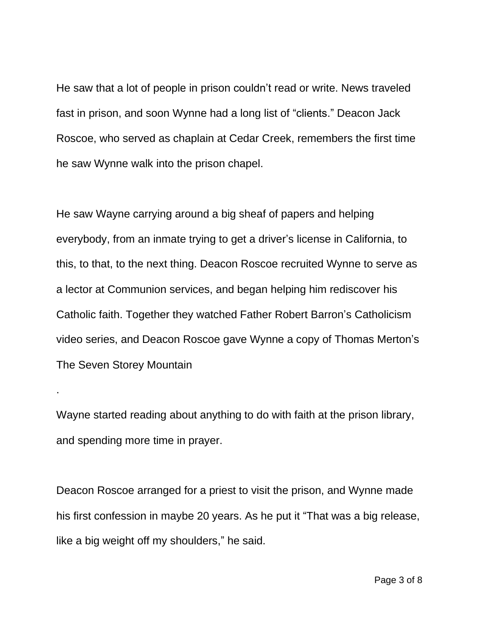He saw that a lot of people in prison couldn't read or write. News traveled fast in prison, and soon Wynne had a long list of "clients." Deacon Jack Roscoe, who served as chaplain at Cedar Creek, remembers the first time he saw Wynne walk into the prison chapel.

He saw Wayne carrying around a big sheaf of papers and helping everybody, from an inmate trying to get a driver's license in California, to this, to that, to the next thing. Deacon Roscoe recruited Wynne to serve as a lector at Communion services, and began helping him rediscover his Catholic faith. Together they watched Father Robert Barron's Catholicism video series, and Deacon Roscoe gave Wynne a copy of Thomas Merton's The Seven Storey Mountain

Wayne started reading about anything to do with faith at the prison library, and spending more time in prayer.

.

Deacon Roscoe arranged for a priest to visit the prison, and Wynne made his first confession in maybe 20 years. As he put it "That was a big release, like a big weight off my shoulders," he said.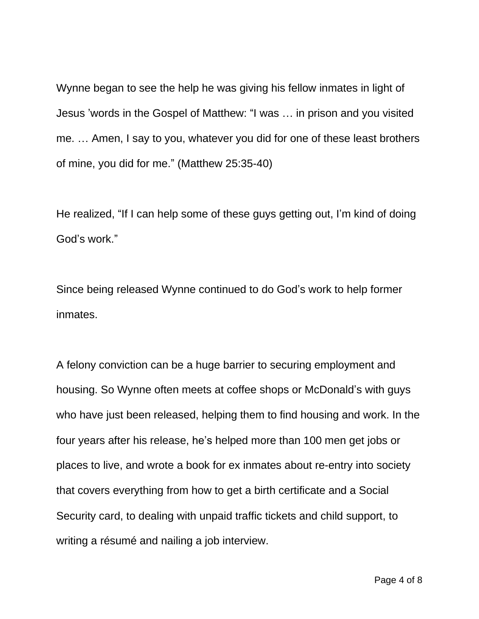Wynne began to see the help he was giving his fellow inmates in light of Jesus 'words in the Gospel of Matthew: "I was … in prison and you visited me. … Amen, I say to you, whatever you did for one of these least brothers of mine, you did for me." (Matthew 25:35-40)

He realized, "If I can help some of these guys getting out, I'm kind of doing God's work."

Since being released Wynne continued to do God's work to help former inmates.

A felony conviction can be a huge barrier to securing employment and housing. So Wynne often meets at coffee shops or McDonald's with guys who have just been released, helping them to find housing and work. In the four years after his release, he's helped more than 100 men get jobs or places to live, and wrote a book for ex inmates about re-entry into society that covers everything from how to get a birth certificate and a Social Security card, to dealing with unpaid traffic tickets and child support, to writing a résumé and nailing a job interview.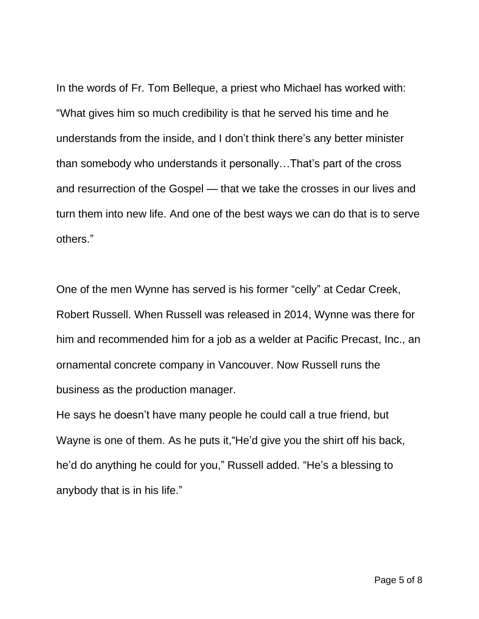In the words of Fr. Tom Belleque, a priest who Michael has worked with: "What gives him so much credibility is that he served his time and he understands from the inside, and I don't think there's any better minister than somebody who understands it personally…That's part of the cross and resurrection of the Gospel — that we take the crosses in our lives and turn them into new life. And one of the best ways we can do that is to serve others."

One of the men Wynne has served is his former "celly" at Cedar Creek, Robert Russell. When Russell was released in 2014, Wynne was there for him and recommended him for a job as a welder at Pacific Precast, Inc., an ornamental concrete company in Vancouver. Now Russell runs the business as the production manager.

He says he doesn't have many people he could call a true friend, but Wayne is one of them. As he puts it,"He'd give you the shirt off his back, he'd do anything he could for you," Russell added. "He's a blessing to anybody that is in his life."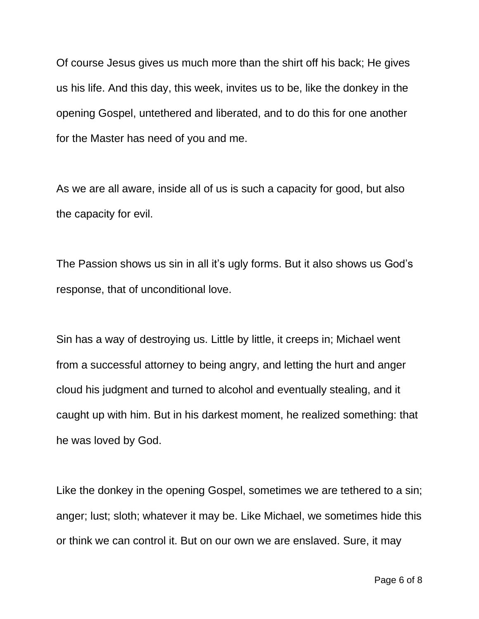Of course Jesus gives us much more than the shirt off his back; He gives us his life. And this day, this week, invites us to be, like the donkey in the opening Gospel, untethered and liberated, and to do this for one another for the Master has need of you and me.

As we are all aware, inside all of us is such a capacity for good, but also the capacity for evil.

The Passion shows us sin in all it's ugly forms. But it also shows us God's response, that of unconditional love.

Sin has a way of destroying us. Little by little, it creeps in; Michael went from a successful attorney to being angry, and letting the hurt and anger cloud his judgment and turned to alcohol and eventually stealing, and it caught up with him. But in his darkest moment, he realized something: that he was loved by God.

Like the donkey in the opening Gospel, sometimes we are tethered to a sin; anger; lust; sloth; whatever it may be. Like Michael, we sometimes hide this or think we can control it. But on our own we are enslaved. Sure, it may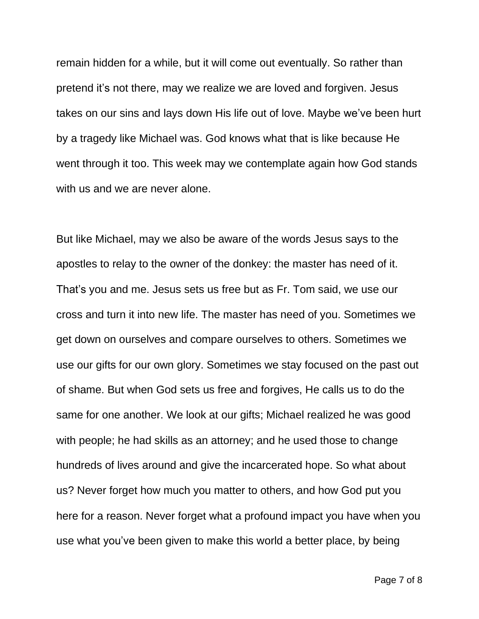remain hidden for a while, but it will come out eventually. So rather than pretend it's not there, may we realize we are loved and forgiven. Jesus takes on our sins and lays down His life out of love. Maybe we've been hurt by a tragedy like Michael was. God knows what that is like because He went through it too. This week may we contemplate again how God stands with us and we are never alone.

But like Michael, may we also be aware of the words Jesus says to the apostles to relay to the owner of the donkey: the master has need of it. That's you and me. Jesus sets us free but as Fr. Tom said, we use our cross and turn it into new life. The master has need of you. Sometimes we get down on ourselves and compare ourselves to others. Sometimes we use our gifts for our own glory. Sometimes we stay focused on the past out of shame. But when God sets us free and forgives, He calls us to do the same for one another. We look at our gifts; Michael realized he was good with people; he had skills as an attorney; and he used those to change hundreds of lives around and give the incarcerated hope. So what about us? Never forget how much you matter to others, and how God put you here for a reason. Never forget what a profound impact you have when you use what you've been given to make this world a better place, by being